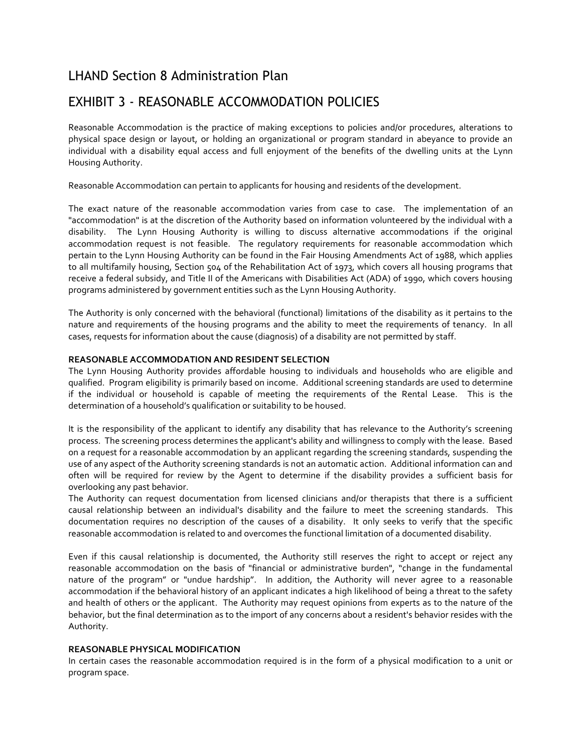## LHAND Section 8 Administration Plan

# EXHIBIT 3 - REASONABLE ACCOMMODATION POLICIES

Reasonable Accommodation is the practice of making exceptions to policies and/or procedures, alterations to physical space design or layout, or holding an organizational or program standard in abeyance to provide an individual with a disability equal access and full enjoyment of the benefits of the dwelling units at the Lynn Housing Authority.

Reasonable Accommodation can pertain to applicants for housing and residents of the development.

The exact nature of the reasonable accommodation varies from case to case. The implementation of an "accommodation" is at the discretion of the Authority based on information volunteered by the individual with a disability. The Lynn Housing Authority is willing to discuss alternative accommodations if the original accommodation request is not feasible. The regulatory requirements for reasonable accommodation which pertain to the Lynn Housing Authority can be found in the Fair Housing Amendments Act of 1988, which applies to all multifamily housing, Section 504 of the Rehabilitation Act of 1973, which covers all housing programs that receive a federal subsidy, and Title II of the Americans with Disabilities Act (ADA) of 1990, which covers housing programs administered by government entities such as the Lynn Housing Authority.

The Authority is only concerned with the behavioral (functional) limitations of the disability as it pertains to the nature and requirements of the housing programs and the ability to meet the requirements of tenancy. In all cases, requests for information about the cause (diagnosis) of a disability are not permitted by staff.

### **REASONABLE ACCOMMODATION AND RESIDENT SELECTION**

The Lynn Housing Authority provides affordable housing to individuals and households who are eligible and qualified. Program eligibility is primarily based on income. Additional screening standards are used to determine if the individual or household is capable of meeting the requirements of the Rental Lease. This is the determination of a household's qualification or suitability to be housed.

It is the responsibility of the applicant to identify any disability that has relevance to the Authority's screening process. The screening process determines the applicant's ability and willingness to comply with the lease. Based on a request for a reasonable accommodation by an applicant regarding the screening standards, suspending the use of any aspect of the Authority screening standards is not an automatic action. Additional information can and often will be required for review by the Agent to determine if the disability provides a sufficient basis for overlooking any past behavior.

The Authority can request documentation from licensed clinicians and/or therapists that there is a sufficient causal relationship between an individual's disability and the failure to meet the screening standards. This documentation requires no description of the causes of a disability. It only seeks to verify that the specific reasonable accommodation is related to and overcomes the functional limitation of a documented disability.

Even if this causal relationship is documented, the Authority still reserves the right to accept or reject any reasonable accommodation on the basis of "financial or administrative burden", "change in the fundamental nature of the program" or "undue hardship". In addition, the Authority will never agree to a reasonable accommodation if the behavioral history of an applicant indicates a high likelihood of being a threat to the safety and health of others or the applicant. The Authority may request opinions from experts as to the nature of the behavior, but the final determination as to the import of any concerns about a resident's behavior resides with the Authority.

#### **REASONABLE PHYSICAL MODIFICATION**

In certain cases the reasonable accommodation required is in the form of a physical modification to a unit or program space.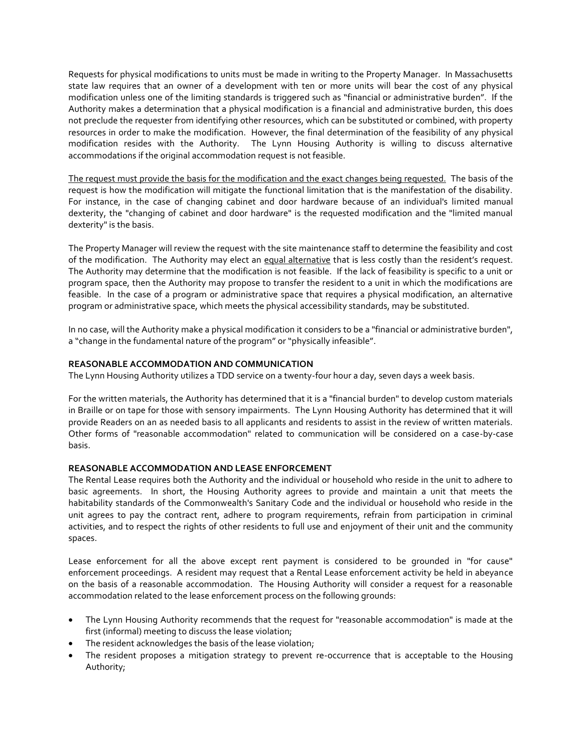Requests for physical modifications to units must be made in writing to the Property Manager. In Massachusetts state law requires that an owner of a development with ten or more units will bear the cost of any physical modification unless one of the limiting standards is triggered such as "financial or administrative burden". If the Authority makes a determination that a physical modification is a financial and administrative burden, this does not preclude the requester from identifying other resources, which can be substituted or combined, with property resources in order to make the modification. However, the final determination of the feasibility of any physical modification resides with the Authority. The Lynn Housing Authority is willing to discuss alternative accommodations if the original accommodation request is not feasible.

The request must provide the basis for the modification and the exact changes being requested. The basis of the request is how the modification will mitigate the functional limitation that is the manifestation of the disability. For instance, in the case of changing cabinet and door hardware because of an individual's limited manual dexterity, the "changing of cabinet and door hardware" is the requested modification and the "limited manual dexterity" is the basis.

The Property Manager will review the request with the site maintenance staff to determine the feasibility and cost of the modification. The Authority may elect an equal alternative that is less costly than the resident's request. The Authority may determine that the modification is not feasible. If the lack of feasibility is specific to a unit or program space, then the Authority may propose to transfer the resident to a unit in which the modifications are feasible. In the case of a program or administrative space that requires a physical modification, an alternative program or administrative space, which meets the physical accessibility standards, may be substituted.

In no case, will the Authority make a physical modification it considers to be a "financial or administrative burden", a "change in the fundamental nature of the program" or "physically infeasible".

#### **REASONABLE ACCOMMODATION AND COMMUNICATION**

The Lynn Housing Authority utilizes a TDD service on a twenty-four hour a day, seven days a week basis.

For the written materials, the Authority has determined that it is a "financial burden" to develop custom materials in Braille or on tape for those with sensory impairments. The Lynn Housing Authority has determined that it will provide Readers on an as needed basis to all applicants and residents to assist in the review of written materials. Other forms of "reasonable accommodation" related to communication will be considered on a case-by-case basis.

#### **REASONABLE ACCOMMODATION AND LEASE ENFORCEMENT**

The Rental Lease requires both the Authority and the individual or household who reside in the unit to adhere to basic agreements. In short, the Housing Authority agrees to provide and maintain a unit that meets the habitability standards of the Commonwealth's Sanitary Code and the individual or household who reside in the unit agrees to pay the contract rent, adhere to program requirements, refrain from participation in criminal activities, and to respect the rights of other residents to full use and enjoyment of their unit and the community spaces.

Lease enforcement for all the above except rent payment is considered to be grounded in "for cause" enforcement proceedings. A resident may request that a Rental Lease enforcement activity be held in abeyance on the basis of a reasonable accommodation. The Housing Authority will consider a request for a reasonable accommodation related to the lease enforcement process on the following grounds:

- The Lynn Housing Authority recommends that the request for "reasonable accommodation" is made at the first (informal) meeting to discuss the lease violation;
- The resident acknowledges the basis of the lease violation;
- The resident proposes a mitigation strategy to prevent re-occurrence that is acceptable to the Housing Authority;